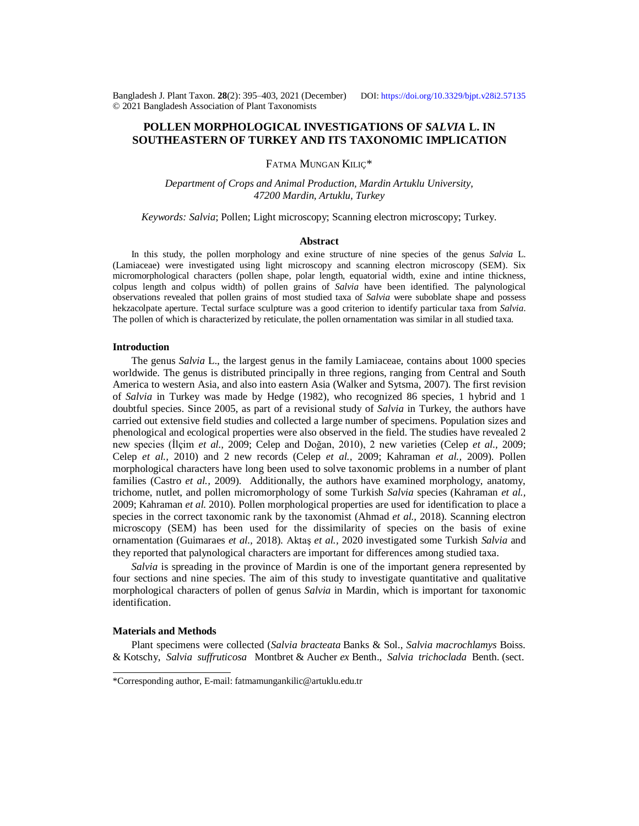Bangladesh J. Plant Taxon. **28**(2): 395‒403, 2021 (December) DOI:<https://doi.org/10.3329/bjpt.v28i2.57135> © 2021 Bangladesh Association of Plant Taxonomists

# **POLLEN MORPHOLOGICAL INVESTIGATIONS OF** *SALVIA* **L. IN SOUTHEASTERN OF TURKEY AND ITS TAXONOMIC IMPLICATION**

FATMA MUNGAN KILIÇ\*

*Department of Crops and Animal Production, Mardin Artuklu University, 47200 Mardin, Artuklu, Turkey*

*Keywords: Salvia*; Pollen; Light microscopy; Scanning electron microscopy; Turkey.

#### **Abstract**

In this study, the pollen morphology and exine structure of nine species of the genus *Salvia* L. (Lamiaceae) were investigated using light microscopy and scanning electron microscopy (SEM). Six micromorphological characters (pollen shape, polar length, equatorial width, exine and intine thickness, colpus length and colpus width) of pollen grains of *Salvia* have been identified. The palynological observations revealed that pollen grains of most studied taxa of *Salvia* were suboblate shape and possess hekzacolpate aperture. Tectal surface sculpture was a good criterion to identify particular taxa from *Salvia*. The pollen of which is characterized by reticulate, the pollen ornamentation was similar in all studied taxa.

## **Introduction**

The genus *Salvia* L., the largest genus in the family Lamiaceae, contains about 1000 species worldwide. The genus is distributed principally in three regions, ranging from Central and South America to western Asia, and also into eastern Asia (Walker and Sytsma, 2007). The first revision of *Salvia* in Turkey was made by Hedge (1982), who recognized 86 species, 1 hybrid and 1 doubtful species. Since 2005, as part of a revisional study of *Salvia* in Turkey, the authors have carried out extensive field studies and collected a large number of specimens. Population sizes and phenological and ecological properties were also observed in the field. The studies have revealed 2 new species (İlçim *et al.,* 2009; Celep and Doğan, 2010), 2 new varieties (Celep *et al.,* 2009; Celep *et al.,* 2010) and 2 new records (Celep *et al.,* 2009; Kahraman *et al.,* 2009). Pollen morphological characters have long been used to solve taxonomic problems in a number of plant families (Castro *et al.,* 2009). Additionally, the authors have examined morphology, anatomy, trichome, nutlet, and pollen micromorphology of some Turkish *Salvia* species (Kahraman *et al.,* 2009; Kahraman *et al.* 2010). Pollen morphological properties are used for identification to place a species in the correct taxonomic rank by the taxonomist (Ahmad *et al.,* 2018). Scanning electron microscopy (SEM) has been used for the dissimilarity of species on the basis of exine ornamentation (Guimaraes *et al.,* 2018). Aktaş *et al.,* 2020 investigated some Turkish *Salvia* and they reported that palynological characters are important for differences among studied taxa.

*Salvia* is spreading in the province of Mardin is one of the important genera represented by four sections and nine species. The aim of this study to investigate quantitative and qualitative morphological characters of pollen of genus *Salvia* in Mardin, which is important for taxonomic identification.

### **Materials and Methods**

Plant specimens were collected (*Salvia bracteata* Banks & Sol., *Salvia macrochlamys* Boiss. & Kotschy, *Salvia suffruticosa* Montbret & Aucher *ex* Benth., *Salvia trichoclada* Benth. (sect.

<sup>\*</sup>Corresponding author, E-mail: [fatmamungankilic@artuklu.edu.tr](mailto:fatmamungankilic@artuklu.edu.tr)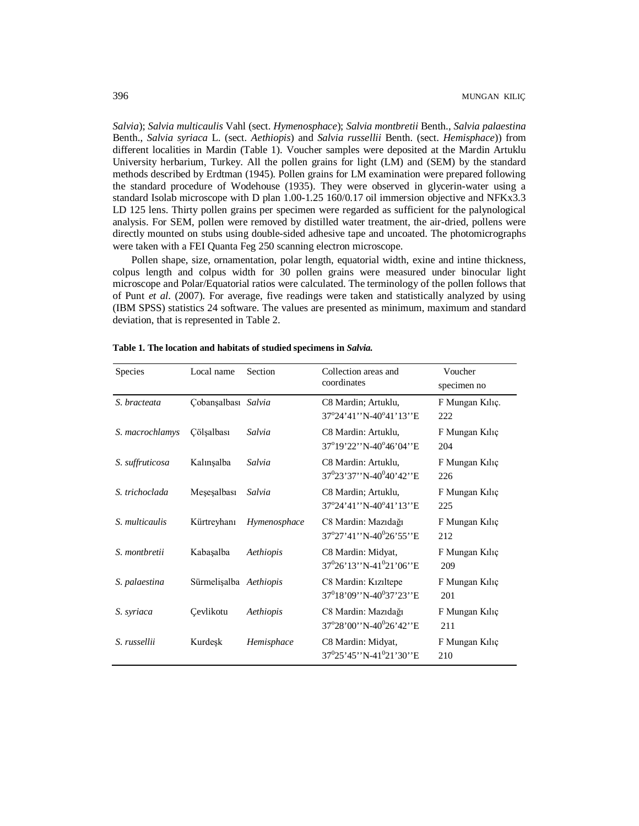*Salvia*); *Salvia multicaulis* Vahl (sect. *Hymenosphace*); *Salvia montbretii* Benth., *Salvia palaestina* Benth., *Salvia syriaca* L. (sect. *Aethiopis*) and *Salvia russellii* Benth. (sect. *Hemisphace*)) from different localities in Mardin (Table 1). Voucher samples were deposited at the Mardin Artuklu University herbarium, Turkey. All the pollen grains for light (LM) and (SEM) by the standard methods described by Erdtman (1945). Pollen grains for LM examination were prepared following the standard procedure of Wodehouse (1935). They were observed in glycerin-water using a standard Isolab microscope with D plan 1.00-1.25 160/0.17 oil immersion objective and NFKx3.3 LD 125 lens. Thirty pollen grains per specimen were regarded as sufficient for the palynological analysis. For SEM, pollen were removed by distilled water treatment, the air-dried, pollens were directly mounted on stubs using double-sided adhesive tape and uncoated. The photomicrographs were taken with a FEI Quanta Feg 250 scanning electron microscope.

Pollen shape, size, ornamentation, polar length, equatorial width, exine and intine thickness, colpus length and colpus width for 30 pollen grains were measured under binocular light microscope and Polar/Equatorial ratios were calculated. The terminology of the pollen follows that of Punt *et al*. (2007). For average, five readings were taken and statistically analyzed by using (IBM SPSS) statistics 24 software. The values are presented as minimum, maximum and standard deviation, that is represented in Table 2.

| <b>Species</b>  | Local name             | Section      | Collection areas and<br>coordinates                                 | Voucher<br>specimen no |
|-----------------|------------------------|--------------|---------------------------------------------------------------------|------------------------|
| S. bracteata    | Çobanşalbası Salvia    |              | C8 Mardin; Artuklu,<br>$37^{\circ}24'41''$ N-40 $^{\circ}41'13''$ E | F Mungan Kılıç.<br>222 |
| S. macrochlamys | Cölşalbası             | Salvia       | C8 Mardin: Artuklu.<br>37°19'22''N-40°46'04''E                      | F Mungan Kiliç<br>204  |
| S. suffruticosa | Kalınşalba             | Salvia       | C8 Mardin: Artuklu,<br>$37^{0}23'37''N-40^{0}40'42''E$              | F Mungan Kiliç<br>226  |
| S. trichoclada  | Meșeșalbası            | Salvia       | C8 Mardin; Artuklu,<br>37°24'41''N-40°41'13''E                      | F Mungan Kılıç<br>225  |
| S. multicaulis  | Kürtreyhanı            | Hymenosphace | C8 Mardin: Mazıdağı<br>$37^{\circ}27'41''$ N-40 $^{\circ}26'55''$ E | F Mungan Kiliç<br>212  |
| S. montbretii   | Kabaşalba              | Aethiopis    | C8 Mardin: Midyat,<br>$37^{0}26'13''$ N-41 <sup>0</sup> 21'06"E     | F Mungan Kiliç<br>209  |
| S. palaestina   | Sürmelişalba Aethiopis |              | C8 Mardin: Kızıltepe<br>$37^{0}18'09''$ N-40 <sup>0</sup> 37'23"E   | F Mungan Kılıç<br>201  |
| S. syriaca      | Cevlikotu              | Aethiopis    | C8 Mardin: Mazıdağı<br>37°28'00'N-40°26'42'E                        | F Mungan Kiliç<br>211  |
| S. russellii    | Kurdeşk                | Hemisphace   | C8 Mardin: Midyat,<br>$37^{0}25'45''$ N-41 <sup>0</sup> 21'30"E     | F Mungan Kiliç<br>210  |

**Table 1. The location and habitats of studied specimens in** *Salvia.*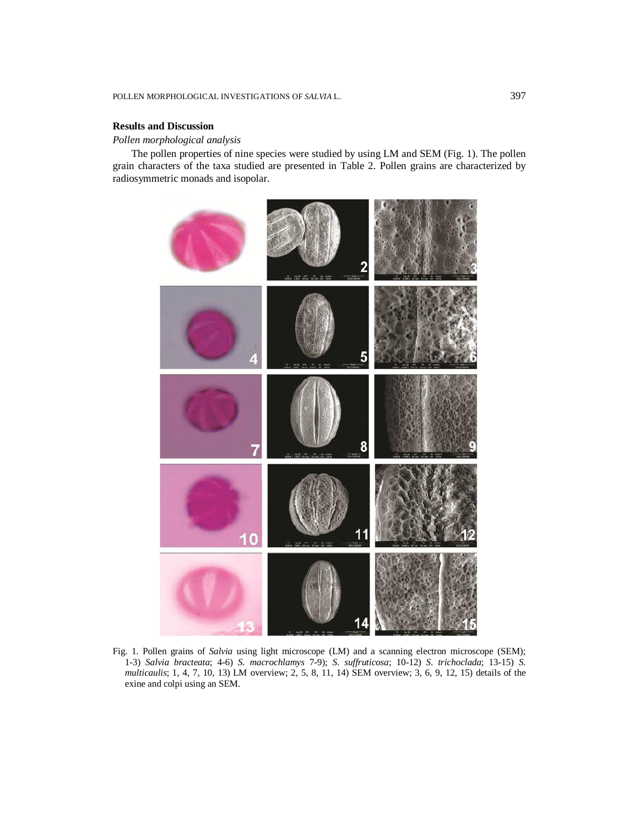## **Results and Discussion**

## *Pollen morphological analysis*

The pollen properties of nine species were studied by using LM and SEM (Fig. 1). The pollen grain characters of the taxa studied are presented in Table 2. Pollen grains are characterized by radiosymmetric monads and isopolar.



Fig. 1. Pollen grains of *Salvia* using light microscope (LM) and a scanning electron microscope (SEM); 1-3) *Salvia bracteata*; 4-6) *S. macrochlamys* 7-9); *S. suffruticosa*; 10-12) *S. trichoclada*; 13-15) *S. multicaulis*; 1, 4, 7, 10, 13) LM overview; 2, 5, 8, 11, 14) SEM overview; 3, 6, 9, 12, 15) details of the exine and colpi using an SEM.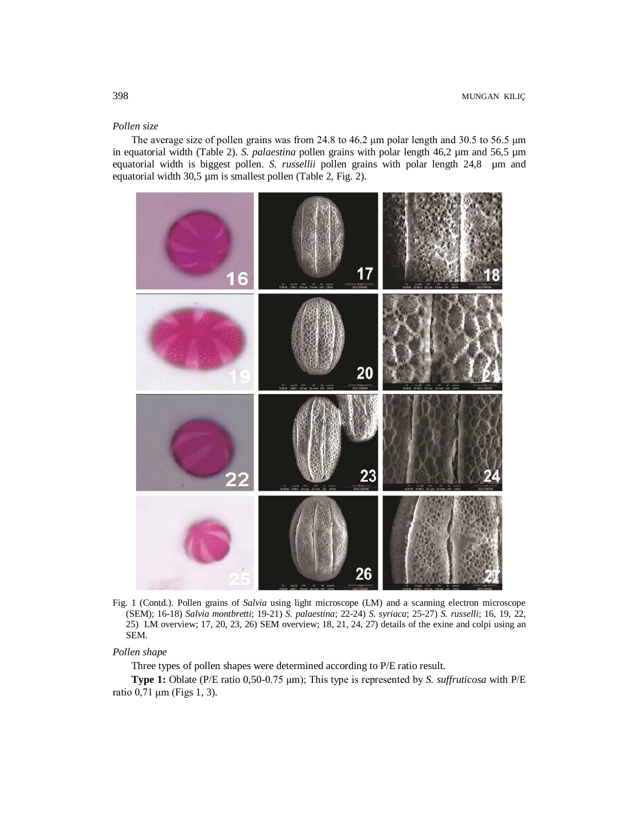## *Pollen size*

The average size of pollen grains was from 24.8 to 46.2 μm polar length and 30.5 to 56.5 μm in equatorial width (Table 2). *S. palaestina* pollen grains with polar length 46,2 µm and 56,5 µm equatorial width is biggest pollen. *S. russellii* pollen grains with polar length 24,8 µm and equatorial width 30,5 µm is smallest pollen (Table 2, Fig. 2).



Fig. 1 (Contd.). Pollen grains of *Salvia* using light microscope (LM) and a scanning electron microscope (SEM); 16-18) *Salvia montbretti*; 19-21) *S. palaestina*; 22-24) *S. syriaca*; 25-27) *S. russelli*; 16, 19, 22, 25) LM overview; 17, 20, 23, 26) SEM overview; 18, 21, 24, 27) details of the exine and colpi using an SEM.

## *Pollen shape*

Three types of pollen shapes were determined according to P/E ratio result.

**Type 1:** Oblate (P/E ratio 0,50-0.75 μm); This type is represented by *S. suffruticosa* with P/E ratio 0,71 μm (Figs 1, 3).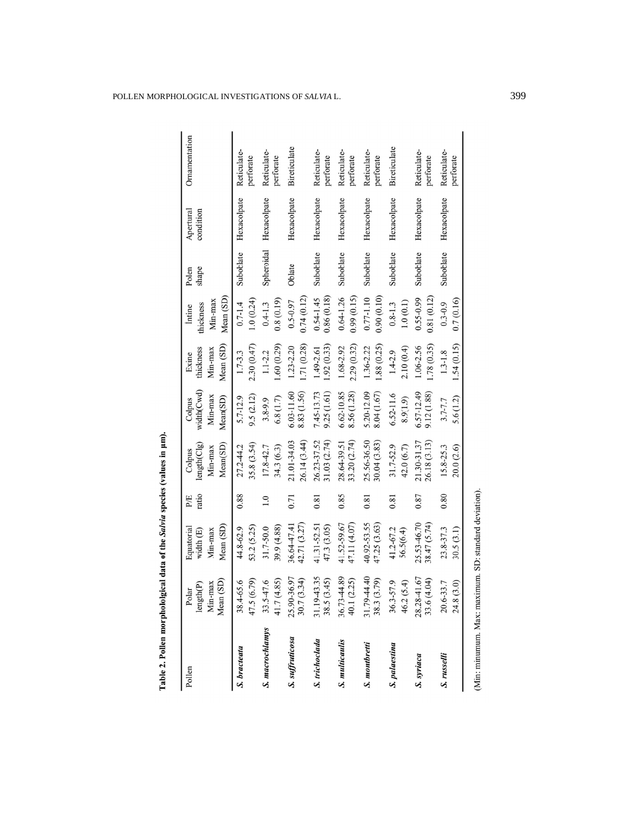| Pollen          | Mean (SD)<br>Min-max<br>length(P)<br>Polar | Mean (SD)<br>Equatorial<br>Min-max<br>width $(E)$ | ratio<br>PÆ | Mean(SD)<br>length(C1g)<br>Min-max<br>Colpus | width(Cwd)<br>Min-max<br>Mean(SD)<br>Colpus | Mean (SD)<br>thickness<br>Min-max<br>Exine | Mean (SD)<br>Min-max<br>thickness<br>Intine | shape<br>Polen | Apertural<br>condition | Ornamentation            |
|-----------------|--------------------------------------------|---------------------------------------------------|-------------|----------------------------------------------|---------------------------------------------|--------------------------------------------|---------------------------------------------|----------------|------------------------|--------------------------|
| S. bracteata    | 47.5 (6.79)<br>38.4-65.6                   | 53.2 (5.25)<br>44.8-62.9                          | 0.88        | 35.8 (3.54)<br>27.2-44.2                     | 9.5(2.12)<br>5.7-12.9                       | 2.30(0.47)<br>$1.7 - 3.3$                  | 1.0(0.24)<br>$0.7 - 1.4$                    | Suboblate      | Hexacolpate            | Reticulate-<br>perforate |
| S. macrochlamys | 41.7 (4.85)<br>33.5-47.6                   | 39.9 (4.88)<br>31.7-50.0                          | 1.0         | 34.3 (6.3)<br>17.8-42.7                      | 6.8(1.7)<br>3.8-9.9                         | 1.60(0.29)<br>$1.1 - 2.2$                  | 0.8(0.19)<br>$0.4 - 1.3$                    | Spheroidal     | Hexacolpate            | Reticulate-<br>perforate |
| S. suffruticosa | 25.90-36.97<br>30.7 (3.34)                 | 42.71 (3.27)<br>36.64-47.41                       | 0.71        | 26.14 (3.44)<br>21.01-34.03                  | 8.83 (1.56)<br>6.03-11.60                   | 1.71(0.28)<br>1.23-2.20                    | 0.74(0.12)<br>$0.5 - 0.97$                  | Oblate         | Hexacolpate            | Bireticulate             |
| S. trichoclada  | 31.19-43.35<br>(3.45)<br>38.5(             | 41.31-52.51<br>47.3 (3.05)                        | 0.81        | 31.03(2.74)<br>26.23-37.52                   | 9.25 (1.61)<br>7.45-13.73                   | .92(0.33)<br>1.49-2.61                     | 0.86(0.18)<br>$0.54 - 1.45$                 | Suboblate      | Hexacolpate            | Reticulate-<br>perforate |
| S. multicaulis  | 36.73-44.89<br>(2.25)<br>40.1(             | 41.52-59.67<br>47.11 (4.07)                       | 0.85        | 33.20 (2.74)<br>28.64-39.51                  | 6.62-10.85<br>8.56 (1.28)                   | 2.29 (0.32)<br>1.68-2.92                   | $0.64 - 1.26$<br>0.99(0.15)                 | Suboblate      | Hexacolpate            | Reticulate-<br>perforate |
| S. montbretti   | 31.79-44.40<br>(3.79)<br>$38.3$ (          | 40.92-53.55<br>47.25 (3.63)                       | 0.81        | 25.56-36.50<br>30.04(3.83)                   | 5.20-12.09<br>8.04 (1.67)                   | 1.88 (0.25)<br>1.36-2.22                   | 0.77-1.10<br>0.90(0.10)                     | Suboblate      | Hexacolpate            | Reticulate-<br>perforate |
| S. palaestina   | 46.2(5.4)<br>36.3-57.9                     | 41.2-67.2<br>56.5(6.4)                            | 0.81        | 31.7-52.9<br>42.0 (6.7)                      | $6.52 - 11.6$<br>8.9(1.9)                   | 2.10(0.4)<br>$1.4 - 2.9$                   | 1.0(0.1)<br>$0.8 - 1.3$                     | Suboblate      | Hexacolpate            | Bireticulate             |
| S. syriaca      | 28.28-41.67<br>(4.04)<br>33.6(4)           | 25.53-46.70<br>38.47 (5.74)                       | 0.87        | 26.18 (3.13)<br>21.30-31.37                  | 6.57-12.49<br>9.12 (1.88)                   | .78(0.35)<br>1.06-2.56                     | 0.55-0.99<br>0.81(0.12)                     | Suboblate      | Hexacolpate            | Reticulate-<br>perforate |
| S. russelli     | (3.0)<br>20.6-33.7<br>24.8                 | 23.8-37.3<br>30.5(3.1)                            | 0.80        | 15.8-25.3<br>20.0 (2.6)                      | 5.6(1.2)<br>$3.7 - 7.7$                     | 1.54 (0.15)<br>$1.3 - 1.8$                 | 0.7(0.16)<br>$0.3 - 0.9$                    | Suboblate      | Hexacolpate            | Reticulate-<br>perforate |

Table 2. Pollen morphololgical data of the Salvia species (values in µm).

(Min: minumum. Max: maximum. SD: standard deviation).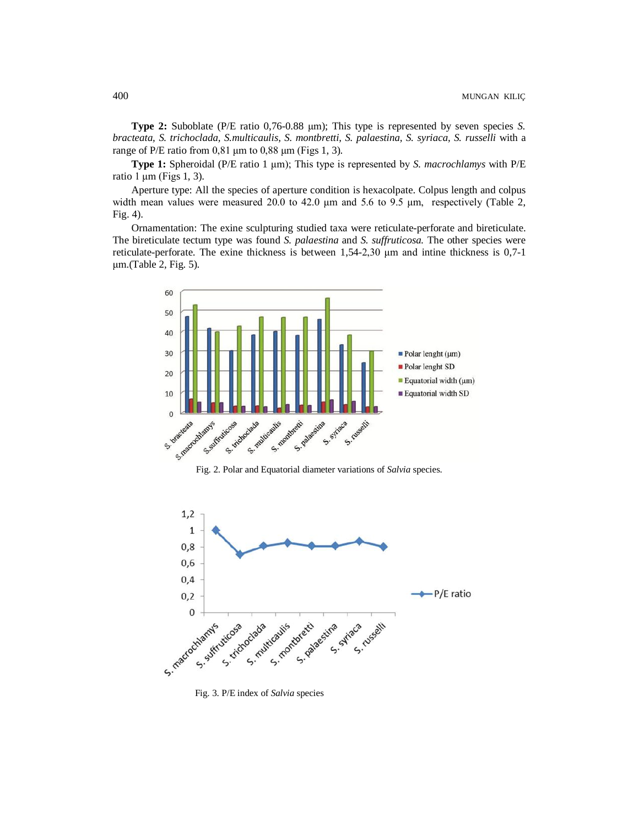**Type 2:** Suboblate (P/E ratio 0,76-0.88 μm); This type is represented by seven species *S. bracteata, S. trichoclada, S.multicaulis, S. montbretti, S. palaestina, S. syriaca, S. russelli* with a range of P/E ratio from  $0.81 \mu m$  to  $0.88 \mu m$  (Figs 1, 3).

**Type 1:** Spheroidal (P/E ratio 1 μm); This type is represented by *S. macrochlamys* with P/E ratio 1 μm (Figs 1, 3).

Aperture type: All the species of aperture condition is hexacolpate. Colpus length and colpus width mean values were measured 20.0 to 42.0 μm and 5.6 to 9.5 μm, respectively (Table 2, Fig. 4).

Ornamentation: The exine sculpturing studied taxa were reticulate-perforate and bireticulate. The bireticulate tectum type was found *S. palaestina* and *S. suffruticosa.* The other species were reticulate-perforate. The exine thickness is between 1,54-2,30 μm and intine thickness is 0,7-1 μm.(Table 2, Fig. 5).



Fig. 2. Polar and Equatorial diameter variations of *Salvia* species.



Fig. 3. P/E index of *Salvia* species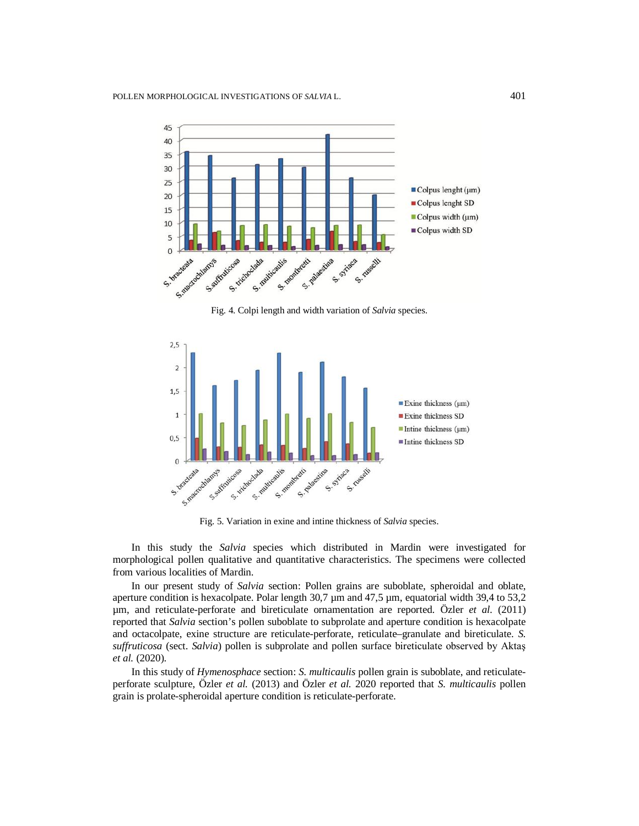

Fig. 4. Colpi length and width variation of *Salvia* species.



Fig. 5. Variation in exine and intine thickness of *Salvia* species.

In this study the *Salvia* species which distributed in Mardin were investigated for morphological pollen qualitative and quantitative characteristics. The specimens were collected from various localities of Mardin.

In our present study of *Salvia* section: Pollen grains are suboblate, spheroidal and oblate, aperture condition is hexacolpate. Polar length 30,7  $\mu$ m and 47,5  $\mu$ m, equatorial width 39,4 to 53,2 µm, and reticulate-perforate and bireticulate ornamentation are reported. Özler *et al.* (2011) reported that *Salvia* section's pollen suboblate to subprolate and aperture condition is hexacolpate and octacolpate, exine structure are reticulate-perforate, reticulate–granulate and bireticulate. *S. suffruticosa* (sect. *Salvia*) pollen is subprolate and pollen surface bireticulate observed by Aktaş *et al.* (2020).

In this study of *Hymenosphace* section: *S. multicaulis* pollen grain is suboblate, and reticulateperforate sculpture, Özler *et al.* (2013) and Özler *et al.* 2020 reported that *S. multicaulis* pollen grain is prolate-spheroidal aperture condition is reticulate-perforate.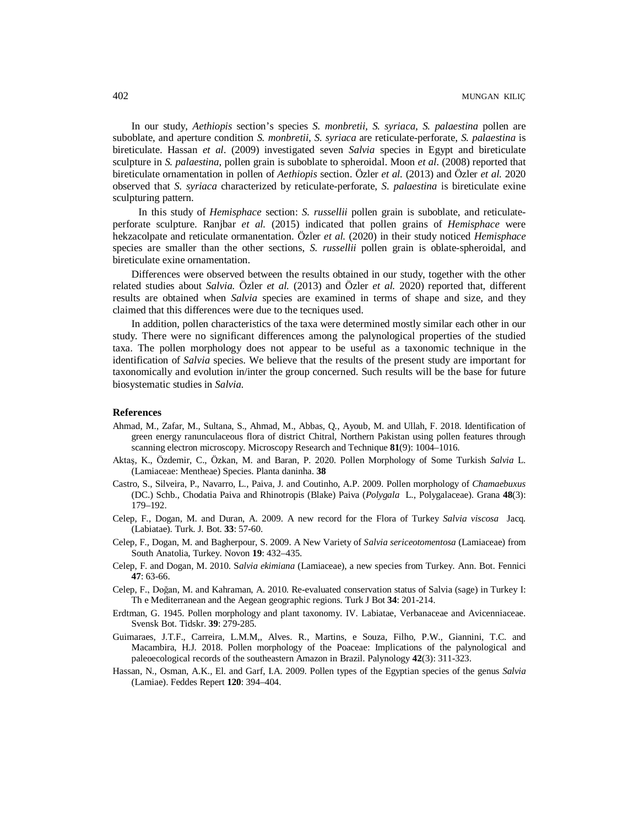In our study, *Aethiopis* section's species *S. monbretii, S. syriaca, S. palaestina* pollen are suboblate, and aperture condition *S. monbretii, S. syriaca* are reticulate-perforate, *S. palaestina* is bireticulate. Hassan *et al*. (2009) investigated seven *Salvia* species in Egypt and bireticulate sculpture in *S. palaestina*, pollen grain is suboblate to spheroidal. Moon *et al*. (2008) reported that bireticulate ornamentation in pollen of *Aethiopis* section. Özler *et al.* (2013) and Özler *et al.* 2020 observed that *S. syriaca* characterized by reticulate-perforate, *S. palaestina* is bireticulate exine sculpturing pattern.

 In this study of *Hemisphace* section: *S. russellii* pollen grain is suboblate, and reticulateperforate sculpture. Ranjbar *et al.* (2015) indicated that pollen grains of *Hemisphace* were hekzacolpate and reticulate ormanentation. Özler *et al.* (2020) in their study noticed *Hemisphace* species are smaller than the other sections, *S. russellii* pollen grain is oblate-spheroidal, and bireticulate exine ornamentation.

Differences were observed between the results obtained in our study, together with the other related studies about *Salvia.* Özler *et al.* (2013) and Özler *et al.* 2020) reported that, different results are obtained when *Salvia* species are examined in terms of shape and size, and they claimed that this differences were due to the tecniques used.

In addition, pollen characteristics of the taxa were determined mostly similar each other in our study. There were no significant differences among the palynological properties of the studied taxa. The pollen morphology does not appear to be useful as a taxonomic technique in the identification of *Salvia* species. We believe that the results of the present study are important for taxonomically and evolution in/inter the group concerned. Such results will be the base for future biosystematic studies in *Salvia*.

#### **References**

- Ahmad, M., Zafar, M., Sultana, S., Ahmad, M., Abbas, Q., Ayoub, M. and Ullah, F. 2018. Identification of green energy ranunculaceous flora of district Chitral, Northern Pakistan using pollen features through scanning electron microscopy. Microscopy Research and Technique **81**(9): 1004–1016.
- Aktaş, K., Özdemir, C., Özkan, M. and Baran, P. 2020. Pollen Morphology of Some Turkish *Salvia* L. (Lamiaceae: Mentheae) Species. Planta daninha. **38**
- Castro, S., Silveira, P., Navarro, L., Paiva, J. and Coutinho, A.P. 2009. Pollen morphology of *Chamaebuxus* (DC.) Schb., Chodatia Paiva and Rhinotropis (Blake) Paiva (*Polygala* L., Polygalaceae). Grana **48**(3): 179–192.
- Celep, F., Dogan, M. and Duran, A. 2009. A new record for the Flora of Turkey *Salvia viscosa* Jacq. (Labiatae). Turk. J. Bot. **33**: 57-60.
- Celep, F., Dogan, M. and Bagherpour, S. 2009. A New Variety of *Salvia sericeotomentosa* (Lamiaceae) from South Anatolia, Turkey. Novon **19**: 432–435.
- Celep, F. and Dogan, M. 2010. S*alvia ekimiana* (Lamiaceae), a new species from Turkey. Ann. Bot. Fennici **47**: 63-66.
- Celep, F., Doğan, M. and Kahraman, A. 2010. Re-evaluated conservation status of Salvia (sage) in Turkey I: Th e Mediterranean and the Aegean geographic regions. Turk J Bot **34**: 201-214.
- Erdtman, G. 1945. Pollen morphology and plant taxonomy. IV. Labiatae, Verbanaceae and Avicenniaceae. Svensk Bot. Tidskr. **39**: 279-285.
- Guimaraes, J.T.F., Carreira, L.M.M,, Alves. R., Martins, e Souza, Filho, P.W., Giannini, T.C. and Macambira, H.J. 2018. Pollen morphology of the Poaceae: Implications of the palynological and paleoecological records of the southeastern Amazon in Brazil. Palynology **42**(3): 311-323.
- Hassan, N., Osman, A.K., El. and Garf, I.A. 2009. Pollen types of the Egyptian species of the genus *Salvia*  (Lamiae). Feddes Repert **120**: 394–404.